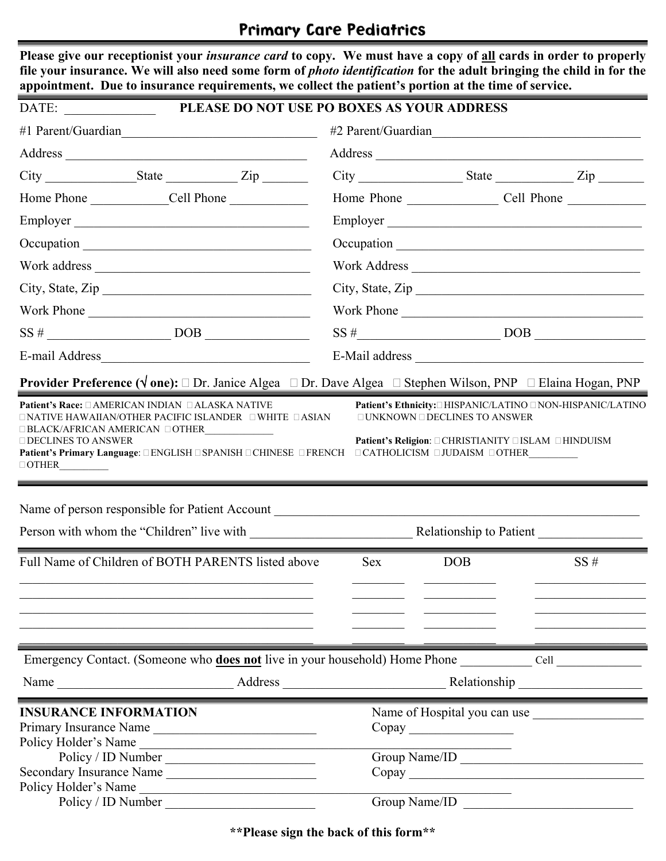# **Primary Care Pediatrics**

Please give our receptionist your *insurance card* to copy. We must have a copy of all cards in order to properly

■

| DATE:                                                                                                                                                                                                                    | PLEASE DO NOT USE PO BOXES AS YOUR ADDRESS |                                                                                                                                     |                                                                                                                                      |                                                                |
|--------------------------------------------------------------------------------------------------------------------------------------------------------------------------------------------------------------------------|--------------------------------------------|-------------------------------------------------------------------------------------------------------------------------------------|--------------------------------------------------------------------------------------------------------------------------------------|----------------------------------------------------------------|
| #1 Parent/Guardian                                                                                                                                                                                                       |                                            |                                                                                                                                     |                                                                                                                                      | #2 Parent/Guardian                                             |
|                                                                                                                                                                                                                          |                                            |                                                                                                                                     |                                                                                                                                      |                                                                |
|                                                                                                                                                                                                                          |                                            |                                                                                                                                     |                                                                                                                                      | $City$ $Listy$ $Listz$                                         |
|                                                                                                                                                                                                                          |                                            |                                                                                                                                     |                                                                                                                                      |                                                                |
| Employer                                                                                                                                                                                                                 |                                            |                                                                                                                                     |                                                                                                                                      | Employer                                                       |
|                                                                                                                                                                                                                          |                                            |                                                                                                                                     |                                                                                                                                      |                                                                |
|                                                                                                                                                                                                                          |                                            |                                                                                                                                     |                                                                                                                                      | Work Address                                                   |
| City, State, Zip                                                                                                                                                                                                         |                                            |                                                                                                                                     |                                                                                                                                      | City, State, Zip                                               |
| Work Phone                                                                                                                                                                                                               |                                            |                                                                                                                                     |                                                                                                                                      | Work Phone                                                     |
|                                                                                                                                                                                                                          |                                            |                                                                                                                                     |                                                                                                                                      | $SS #$ DOB $\_\_\_\_\_\_\_\_\_$                                |
|                                                                                                                                                                                                                          |                                            |                                                                                                                                     |                                                                                                                                      |                                                                |
| <b>Provider Preference (<math>\sqrt{</math> one):</b> $\square$ Dr. Janice Algea $\square$ Dr. Dave Algea $\square$ Stephen Wilson, PNP $\square$ Elaina Hogan, PNP<br>Patient's Race: □ AMERICAN INDIAN □ ALASKA NATIVE |                                            |                                                                                                                                     |                                                                                                                                      | Patient's Ethnicity: IHISPANIC/LATINO INON-HISPANIC/LATINO     |
| $\Box$ DECLINES TO ANSWER<br>Patient's Primary Language: □ENGLISH □SPANISH □CHINESE □FRENCH □CATHOLICISM □JUDAISM □OTHER                                                                                                 |                                            |                                                                                                                                     | Patient's Religion: CHRISTIANITY CISLAM CHINDUISM                                                                                    |                                                                |
|                                                                                                                                                                                                                          |                                            |                                                                                                                                     |                                                                                                                                      |                                                                |
|                                                                                                                                                                                                                          |                                            |                                                                                                                                     |                                                                                                                                      |                                                                |
| $\label{eq:OTHER} \begin{tabular}{ c c c } \hline \multicolumn{3}{ c }{\text{OTHEN}} \end{tabular}$<br>Name of person responsible for Patient Account __________________________________                                 |                                            |                                                                                                                                     |                                                                                                                                      | Relationship to Patient                                        |
| Full Name of Children of BOTH PARENTS listed above<br><u> 1989 - Johann Stoff, deutscher Stoff, der Stoff, der Stoff, der Stoff, der Stoff, der Stoff, der Stoff, der S</u>                                              |                                            | <b>Sex</b><br><u> 1990 - John Harry Barn, mars and de Branch and de Branch and de Branch and de Branch and de Branch and de Bra</u> | <b>DOB</b><br><u> Alexandria (Carlo Carlo Carlo Carlo Carlo Carlo Carlo Carlo Carlo Carlo Carlo Carlo Carlo Carlo Carlo Carlo Ca</u> | SS#<br>the control of the control of the control of the        |
|                                                                                                                                                                                                                          |                                            |                                                                                                                                     |                                                                                                                                      |                                                                |
|                                                                                                                                                                                                                          |                                            |                                                                                                                                     |                                                                                                                                      |                                                                |
|                                                                                                                                                                                                                          |                                            |                                                                                                                                     |                                                                                                                                      |                                                                |
| <b>INSURANCE INFORMATION</b><br>Primary Insurance Name<br>Policy Holder's Name                                                                                                                                           |                                            |                                                                                                                                     |                                                                                                                                      |                                                                |
| Policy / ID Number                                                                                                                                                                                                       |                                            |                                                                                                                                     |                                                                                                                                      |                                                                |
| Secondary Insurance Name<br>Policy Holder's Name<br>Policy / ID Number                                                                                                                                                   |                                            |                                                                                                                                     |                                                                                                                                      | Name of Hospital you can use<br>$\text{Copy}$<br>Group Name/ID |

**\*\*Please sign the back of this form\*\***